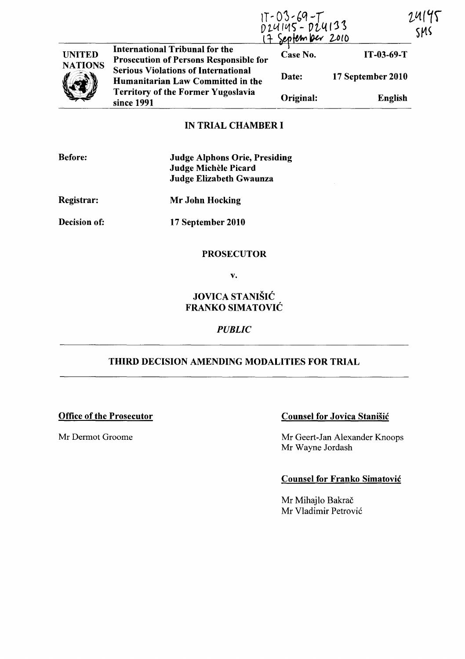|                                 |                                                                                                                                            | IT-03-69-T<br>D24145-D24133<br><del>17 September 2010</del> |                   | 7.41<br>SMS |
|---------------------------------|--------------------------------------------------------------------------------------------------------------------------------------------|-------------------------------------------------------------|-------------------|-------------|
| <b>UNITED</b><br><b>NATIONS</b> | <b>International Tribunal for the</b><br><b>Prosecution of Persons Responsible for</b>                                                     | Case No.                                                    | $IT-03-69-T$      |             |
|                                 | <b>Serious Violations of International</b><br>Humanitarian Law Committed in the<br><b>Territory of the Former Yugoslavia</b><br>since 1991 | Date:                                                       | 17 September 2010 |             |
|                                 |                                                                                                                                            | Original:                                                   | <b>English</b>    |             |

# IN TRIAL CHAMBER I

| <b>Before:</b>      | <b>Judge Alphons Orie, Presiding</b><br>Judge Michèle Picard<br><b>Judge Elizabeth Gwaunza</b> |  |
|---------------------|------------------------------------------------------------------------------------------------|--|
| <b>Registrar:</b>   | Mr John Hocking                                                                                |  |
| <b>Decision of:</b> | 17 September 2010                                                                              |  |
|                     | <b>PROSECUTOR</b>                                                                              |  |

v.

## JOVICA STANIŠIĆ FRANKO SIMATOVIC

### *PUBLIC*

# THIRD DECISION AMENDING MODALITIES FOR TRIAL

### Office of the Prosecutor Counsel for Jovica Stanisic

Mr Dermot Groome Mr Geert-Jan Alexander Knoops Mr Wayne Jordash

### Counsel for Franko Simatovic

Mr Mihajlo Bakrač Mr Vladimir Petrovic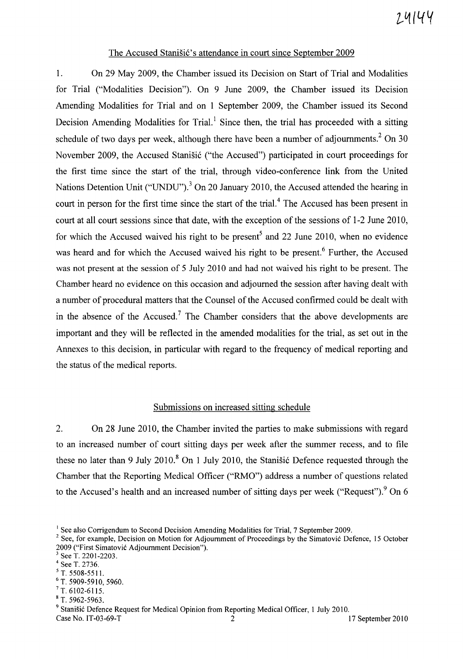#### The Accused Stanišić's attendance in court since September 2009

1. On 29 May 2009, the Chamber issued its Decision on Start of Trial and Modalities for Trial ("Modalities Decision"). On 9 June 2009, the Chamber issued its Decision Amending Modalities for Trial and on 1 September 2009, the Chamber issued its Second Decision Amending Modalities for Trial.<sup>1</sup> Since then, the trial has proceeded with a sitting schedule of two days per week, although there have been a number of adjournments.<sup>2</sup> On 30 November 2009, the Accused Stanišić ("the Accused") participated in court proceedings for the first time since the start of the trial, through video-conference link from the United Nations Detention Unit ("UNDU").<sup>3</sup> On 20 January 2010, the Accused attended the hearing in court in person for the first time since the start of the trial.4 The Accused has been present in court at all court sessions since that date, with the exception of the sessions of 1-2 June 2010, for which the Accused waived his right to be present<sup>5</sup> and 22 June 2010, when no evidence was heard and for which the Accused waived his right to be present.<sup>6</sup> Further, the Accused was not present at the session of 5 July 2010 and had not waived his right to be present. The Chamber heard no evidence on this occasion and adjourned the session after having dealt with a number of procedural matters that the Counsel of the Accused confirmed could be dealt with in the absence of the Accused.<sup>7</sup> The Chamber considers that the above developments are important and they will be reflected in the amended modalities for the trial, as set out in the Annexes to this decision, in particular with regard to the frequency of medical reporting and the status of the medical reports.

### Submissions on increased sitting schedule

2. On 28 June 2010, the Chamber invited the parties to make submissions with regard to an increased number of court sitting days per week after the summer recess, and to file these no later than 9 July 2010.<sup>8</sup> On 1 July 2010, the Stanistic Defence requested through the Chamber that the Reporting Medical Officer ("RMO") address a number of questions related to the Accused's health and an increased number of sitting days per week ("Request"). $9$  On 6

<sup>&</sup>lt;sup>1</sup> See also Corrigendum to Second Decision Amending Modalities for Trial, 7 September 2009.

<sup>&</sup>lt;sup>2</sup> See, for example, Decision on Motion for Adjournment of Proceedings by the Simatovic Defence, 15 October 2009 ("First Simatovic Adjournment Decision").

 $3$  See T. 2201-2203.

<sup>4</sup> See T. 2736.

 $5T. 5508 - 5511.$ 

<sup>6</sup> T. 5909-5910, 5960.

 $7$  T. 6102-6115.

<sup>8</sup> T. 5962-5963.

<sup>&</sup>lt;sup>9</sup> Stanišić Defence Request for Medical Opinion from Reporting Medical Officer, 1 July 2010. Case No. IT-03-69-T 2 17 September 2010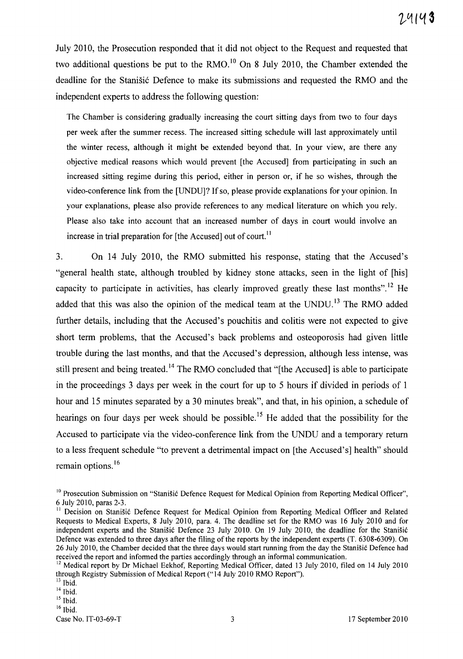July 2010, the Prosecution responded that it did not object to the Request and requested that two additional questions be put to the RMO.<sup>10</sup> On 8 July 2010, the Chamber extended the deadline for the Stanišić Defence to make its submissions and requested the RMO and the independent experts to address the following question:

The Chamber is considering gradually increasing the court sitting days from two to four days per week after the summer recess. The increased sitting schedule will last approximately until the winter recess, although it might be extended beyond that. In your view, are there any objective medical reasons which would prevent [the Accused] from participating in such an increased sitting regime during this period, either in person or, if he so wishes, through the video-conference link from the [UNDU]? If so, please provide explanations for your opinion. In your explanations, please also provide references to any medical literature on which you rely. Please also take into account that an increased number of days in court would involve an increase in trial preparation for  $[the Accused]$  out of court.<sup>11</sup>

3. On 14 July 2010, the RMO submitted his response, stating that the Accused's "general health state, although troubled by kidney stone attacks, seen in the light of [his] capacity to participate in activities, has clearly improved greatly these last months".<sup>12</sup> He added that this was also the opinion of the medical team at the UNDU.<sup>13</sup> The RMO added further details, including that the Accused's pouchitis and colitis were not expected to give short term problems, that the Accused's back problems and osteoporosis had given little trouble during the last months, and that the Accused's depression, although less intense, was still present and being treated.<sup>14</sup> The RMO concluded that "[the Accused] is able to participate in the proceedings 3 days per week in the court for up to 5 hours if divided in periods of 1 hour and 15 minutes separated by a 30 minutes break", and that, in his opinion, a schedule of hearings on four days per week should be possible.<sup>15</sup> He added that the possibility for the Accused to participate via the video-conference link from the UNDU and a temporary return to a less frequent schedule "to prevent a detrimental impact on [the Accused's] health" should remain options.<sup>16</sup>

 $15$  Ibid.

 $16$  Ibid.

<sup>&</sup>lt;sup>10</sup> Prosecution Submission on "Stanišić Defence Request for Medical Opinion from Reporting Medical Officer", 6 July 2010, paras 2-3.

<sup>&</sup>lt;sup>11</sup> Decision on Stanišić Defence Request for Medical Opinion from Reporting Medical Officer and Related Requests to Medical Experts, 8 July 2010, para. 4. The deadline set for the RMO was 16 July 2010 and for independent experts and the Stanišić Defence 23 July 2010. On 19 July 2010, the deadline for the Stanišić Defence was extended to three days after the filing of the reports by the independent experts (T. 6308-6309). On 26 July 2010, the Chamber decided that the three days would start running from the day the Stanisic Defence had received the report and informed the parties accordingly through an informal communication.

 $12$  Medical report by Dr Michael Eekhof, Reporting Medical Officer, dated 13 July 2010, filed on 14 July 2010 through Registry Submission of Medical Report ("14 July 2010 RMO Report").

<sup>&</sup>lt;sup>13</sup> Ibid.

 $14$  Ibid.

Case No. IT-03-69-T 3 17 September 2010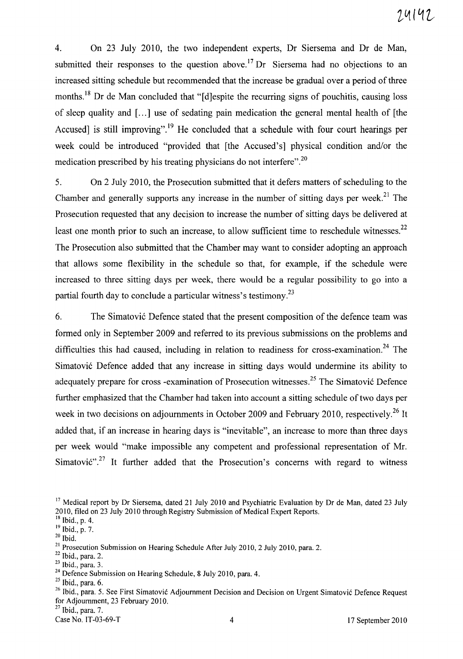4. On 23 July 2010, the two independent experts, Dr Siersema and Dr de Man, submitted their responses to the question above.<sup>17</sup> Dr Siersema had no objections to an increased sitting schedule but recommended that the increase be gradual over a period of three months.<sup>18</sup> Dr de Man concluded that "[d]espite the recurring signs of pouchitis, causing loss of sleep quality and [...] use of sedating pain medication the general mental health of [the Accused] is still improving".<sup>19</sup> He concluded that a schedule with four court hearings per week could be introduced "provided that [the Accused's] physical condition and/or the medication prescribed by his treating physicians do not interfere".2o

5. On 2 July 2010, the Prosecution submitted that it defers matters of scheduling to the Chamber and generally supports any increase in the number of sitting days per week.<sup>21</sup> The Prosecution requested that any decision to increase the number of sitting days be delivered at least one month prior to such an increase, to allow sufficient time to reschedule witnesses.<sup>22</sup> The Prosecution also submitted that the Chamber may want to consider adopting an approach that allows some flexibility in the schedule so that, for example, if the schedule were increased to three sitting days per week, there would be a regular possibility to go into a partial fourth day to conclude a particular witness's testimony.<sup>23</sup>

6. The Simatović Defence stated that the present composition of the defence team was formed only in September 2009 and referred to its previous submissions on the problems and difficulties this had caused, including in relation to readiness for cross-examination.<sup>24</sup> The Simatović Defence added that any increase in sitting days would undermine its ability to adequately prepare for cross -examination of Prosecution witnesses.<sup>25</sup> The Simatović Defence further emphasized that the Chamber had taken into account a sitting schedule of two days per week in two decisions on adjournments in October 2009 and February 2010, respectively.<sup>26</sup> It added that, if an increase in hearing days is "inevitable", an increase to more than three days per week would "make impossible any competent and professional representation of Mr. Simatović".<sup>27</sup> It further added that the Prosecution's concerns with regard to witness

 $25$  Ibid., para. 6.

 $27$  Ibid., para. 7.

<sup>&</sup>lt;sup>17</sup> Medical report by Dr Siersema, dated 21 July 2010 and Psychiatric Evaluation by Dr de Man, dated 23 July 2010, filed on 23 July 2010 through Registry Submission of Medical Expert Reports.

 $18$  Ibid., p. 4.

<sup>&</sup>lt;sup>19</sup> Ibid., p. 7.

 $20$  Ibid.

 $21$  Prosecution Submission on Hearing Schedule After July 2010, 2 July 2010, para. 2.

 $22$  Ibid., para. 2.

<sup>23</sup> Ibid., para. 3.

<sup>&</sup>lt;sup>24</sup> Defence Submission on Hearing Schedule, 8 July 2010, para. 4.

<sup>&</sup>lt;sup>26</sup> Ibid., para. 5. See First Simatović Adjournment Decision and Decision on Urgent Simatović Defence Request for Adjournment, 23 February 2010.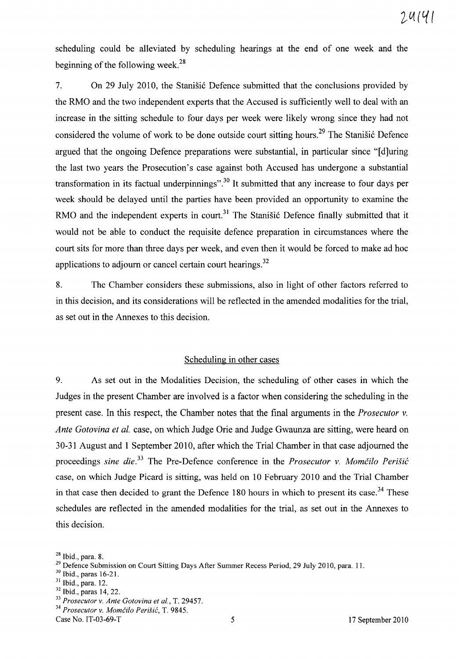scheduling could be alleviated by scheduling hearings at the end of one week and the beginning of the following week. 28

7. On 29 July 2010, the Stanisic Defence submitted that the conclusions provided by the RMO and the two independent experts that the Accused is sufficiently well to deal with an increase in the sitting schedule to four days per week were likely wrong since they had not considered the volume of work to be done outside court sitting hours.<sup>29</sup> The Stanisic Defence argued that the ongoing Defence preparations were substantial, in particular since "[d]uring the last two years the Prosecution's case against both Accused has undergone a substantial transformation in its factual underpinnings".<sup>30</sup> It submitted that any increase to four days per week should be delayed until the parties have been provided an opportunity to examine the RMO and the independent experts in court.<sup>31</sup> The Stanistic Defence finally submitted that it would not be able to conduct the requisite defence preparation in circumstances where the court sits for more than three days per week, and even then it would be forced to make ad hoc applications to adjourn or cancel certain court hearings.<sup>32</sup>

8. The Chamber considers these submissions, also in light of other factors referred to in this decision, and its considerations will be reflected in the amended modalities for the trial, as set out in the Annexes to this decision.

#### Scheduling in other cases

9. As set out in the Modalities Decision, the scheduling of other cases in which the Judges in the present Chamber are involved is a factor when considering the scheduling in the present case. In this respect, the Chamber notes that the final arguments in the *Prosecutor* v. *Ante Gotovina et al.* case, on which Judge Orie and Judge Gwaunza are sitting, were heard on 30-31 August and 1 September 2010, after which the Trial Chamber in that case adjourned the proceedings *sine die.*<sup>33</sup> The Pre-Defence conference in the *Prosecutor v. Momčilo Perišić* case, on which Judge Picard is sitting, was held on 10 February 2010 and the Trial Chamber in that case then decided to grant the Defence 180 hours in which to present its case.<sup>34</sup> These schedules are reflected in the amended modalities for the trial, as set out in the Annexes to this decision.

- 31 Ibid., para. 12.
- $32$  Ibid., paras 14, 22.

*34 Prosecutor* v. *MomCilo Perisic,* T. 9845. Case No. IT-03-69-T 5 17 September 2010

 $28$  Ibid., para. 8.

<sup>&</sup>lt;sup>29</sup> Defence Submission on Court Sitting Days After Summer Recess Period, 29 July 2010, para. 11.

<sup>30</sup> Ibid., paras 16-21.

*<sup>33</sup> Prosecutor* v. *Ante Gotovina et al.,* T. 29457.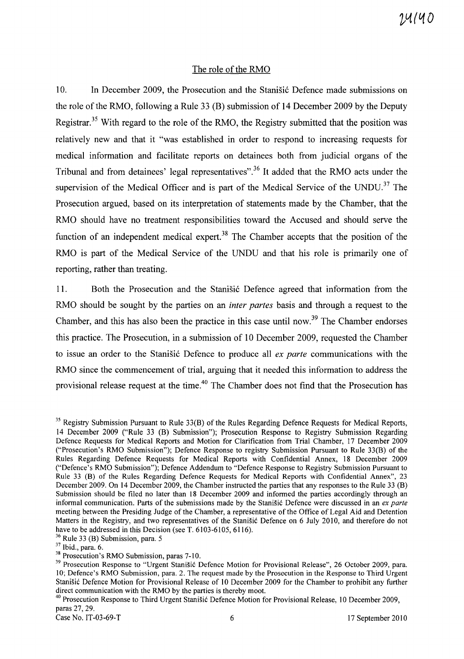#### The role of the RMO

10. In December 2009, the Prosecution and the Stanisic Defence made submissions on the role of the RMO, following a Rule 33 (B) submission of **14** December 2009 by the Deputy Registrar.<sup>35</sup> With regard to the role of the RMO, the Registry submitted that the position was relatively new and that it "was established in order to respond to increasing requests for medical information and facilitate reports on detainees both from judicial organs of the Tribunal and from detainees' legal representatives".36 It added that the RMO acts under the supervision of the Medical Officer and is part of the Medical Service of the UNDU.<sup>37</sup> The Prosecution argued, based on its interpretation of statements made by the Chamber, that the RMO should have no treatment responsibilities toward the Accused and should serve the function of an independent medical expert.<sup>38</sup> The Chamber accepts that the position of the RMO is part of the Medical Service of the UNDU and that his role is primarily one of reporting, rather than treating.

11. Both the Prosecution and the Stanisic Defence agreed that information from the RMO should be sought by the parties on an *inter partes* basis and through a request to the Chamber, and this has also been the practice in this case until now.<sup>39</sup> The Chamber endorses this practice. The Prosecution, in a submission of 10 December 2009, requested the Chamber to issue an order to the Stanisic Defence to produce all *ex parte* communications with the RMO since the commencement of trial, arguing that it needed this information to address the provisional release request at the time.<sup>40</sup> The Chamber does not find that the Prosecution has

<sup>40</sup> Prosecution Response to Third Urgent Stanišić Defence Motion for Provisional Release, 10 December 2009, paras 27, 29.

<sup>&</sup>lt;sup>35</sup> Registry Submission Pursuant to Rule 33(B) of the Rules Regarding Defence Requests for Medical Reports, 14 December 2009 ("Rule 33 (B) Submission"); Prosecution Response to Registry Submission Regarding Defence Requests for Medical Reports and Motion for Clarification from Trial Chamber, 17 December 2009 ("Prosecution's RMO Submission"); Defence Response to registry Submission Pursuant to Rule 33(B) of the Rules Regarding Defence Requests for Medical Reports with Confidential Annex, 18 December 2009 ("Defence'S RMO Submission"); Defence Addendum to "Defence Response to Registry Submission Pursuant to Rule 33 (B) of the Rules Regarding Defence Requests for Medical Reports with Confidential Annex", 23 December 2009. On 14 December 2009, the Chamber instructed the parties that any responses to the Rule 33 (B) Submission should be filed no later than 18 December 2009 and informed the parties accordingly through an informal communication. Parts of the submissions made by the Stanisic Defence were discussed in an *ex parte* meeting between the Presiding Judge of the Chamber, a representative of the Office of Legal Aid and Detention Matters in the Registry, and two representatives of the Stanišić Defence on 6 July 2010, and therefore do not have to be addressed in this Decision (see T. 6103-6105, 6116).

 $36$  Rule 33 (B) Submission, para. 5

<sup>37</sup> Ibid., para. 6.

<sup>&</sup>lt;sup>38</sup> Prosecution's RMO Submission, paras 7-10.

<sup>&</sup>lt;sup>39</sup> Prosecution Response to "Urgent Stanišić Defence Motion for Provisional Release", 26 October 2009, para. 10; Defence's RMO Submission, para. 2. The request made by the Prosecution in the Response to Third Urgent Stanišić Defence Motion for Provisional Release of 10 December 2009 for the Chamber to prohibit any further direct communication with the RMO by the parties is thereby moot.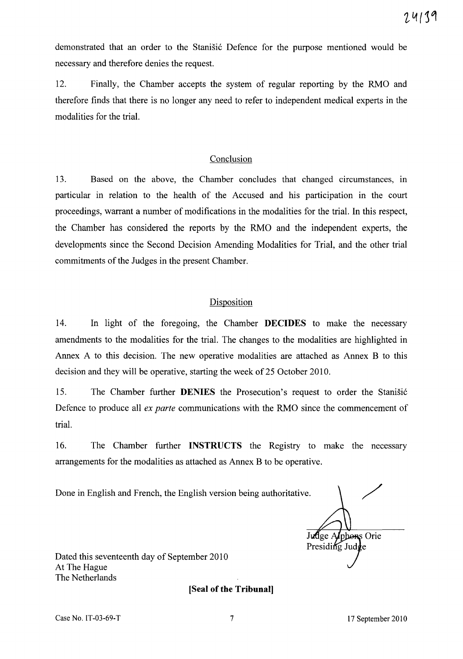demonstrated that an order to the Stanišić Defence for the purpose mentioned would be necessary and therefore denies the request.

12. Finally, the Chamber accepts the system of regular reporting by the RMO and therefore finds that there is no longer any need to refer to independent medical experts in the modalities for the trial.

#### Conclusion

13. Based on the above, the Chamber concludes that changed circumstances, in particular in relation to the health of the Accused and his participation in the court proceedings, warrant a number of modifications in the modalities for the trial. In this respect, the Chamber has considered the reports by the RMO and the independent experts, the developments since the Second Decision Amending Modalities for Trial, and the other trial commitments of the Judges in the present Chamber.

### Disposition

14. In light of the foregoing, the Chamber **DECIDES** to make the necessary amendments to the modalities for the trial. The changes to the modalities are highlighted in Annex A to this decision. The new operative modalities are attached as Annex B to this decision and they will be operative, starting the week of 25 October 2010.

15. The Chamber further **DENIES** the Prosecution's request to order the Stanisic Defence to produce all *ex parte* communications with the RMO since the commencement of trial.

16. The Chamber further **INSTRUCTS** the Registry to make the necessary arrangements for the modalities as attached as Annex B to be operative.

Done in English and French, the English version being authoritative.

/ Judge Applons Orie Presiding Judge

Dated this seventeenth day of September 2010 At The Hague The Netherlands

**[Seal of the Tribunal]**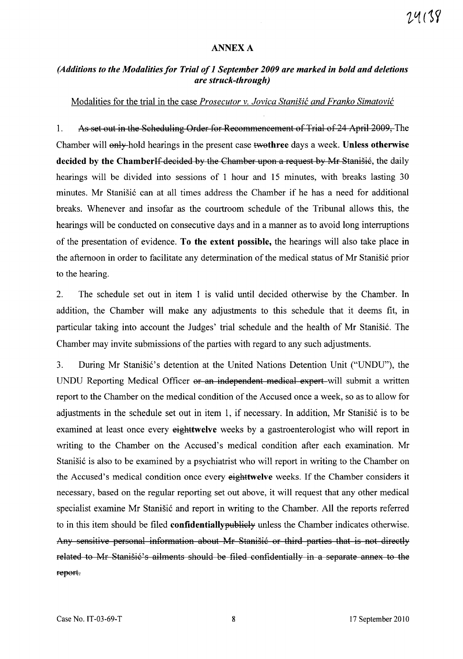#### ANNEXA

### *(Additions to the Modalities for Trial of* 1 *September 2009 are marked in bold and deletions are struck-through)*

#### Modalities for the trial in the case *Prosecutor v. Jovica Stanisic and Franko Simatovic*

1. As set out in the Scheduling Order for Recommencement of Trial of 24 April 2009, The Chamber will only-hold hearings in the present case two three days a week. Unless otherwise decided by the ChamberIf decided by the Chamber upon a request by Mr Stanisié, the daily hearings will be divided into sessions of 1 hour and 15 minutes, with breaks lasting 30 minutes. Mr Stanišić can at all times address the Chamber if he has a need for additional breaks. Whenever and insofar as the courtroom schedule of the Tribunal allows this, the hearings will be conducted on consecutive days and in a manner as to avoid long interruptions of the presentation of evidence. To the extent possible, the hearings will also take place in the afternoon in order to facilitate any determination of the medical status of Mr Stanišić prior to the hearing.

2. The schedule set out in item 1 is valid until decided otherwise by the Chamber. In addition, the Chamber will make any adjustments to this schedule that it deems fit, in particular taking into account the Judges' trial schedule and the health of Mr Stanistic. The Chamber may invite submissions of the parties with regard to any such adjustments.

3. During Mr Stanišić's detention at the United Nations Detention Unit ("UNDU"), the UNDU Reporting Medical Officer or an independent medical expert-will submit a written report to the Chamber on the medical condition of the Accused once a week, so as to allow for adjustments in the schedule set out in item 1, if necessary. In addition, Mr Stanišić is to be examined at least once every eighttwelve weeks by a gastroenterologist who will report in writing to the Chamber on the Accused's medical condition after each examination. Mr Stanišić is also to be examined by a psychiatrist who will report in writing to the Chamber on the Accused's medical condition once every eighttwelve weeks. If the Chamber considers it necessary, based on the regular reporting set out above, it will request that any other medical specialist examine Mr Stanišić and report in writing to the Chamber. All the reports referred to in this item should be filed **confidentially publicly** unless the Chamber indicates otherwise. Any sensitive personal information about Mr Stanišić or third parties that is not directly related to Mr Stanišić's ailments should be filed confidentially in a separate annex to the report.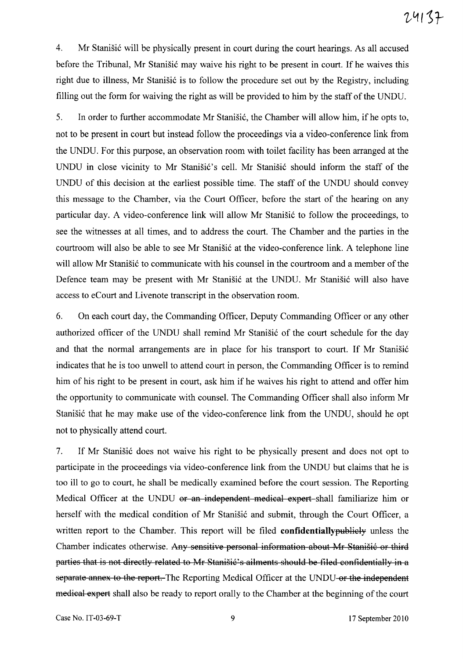4. Mr Stanišić will be physically present in court during the court hearings. As all accused before the Tribunal, Mr Stanišić may waive his right to be present in court. If he waives this right due to illness, Mr Stanišić is to follow the procedure set out by the Registry, including filling out the form for waiving the right as will be provided to him by the staff of the UNDU.

5. In order to further accommodate Mr Stanišić, the Chamber will allow him, if he opts to, not to be present in court but instead follow the proceedings via a video-conference link from the UNDU. For this purpose, an observation room with toilet facility has been arranged at the UNDU in close vicinity to Mr Stanišić's cell. Mr Stanišić should inform the staff of the UNDU of this decision at the earliest possible time. The staff of the UNDU should convey this message to the Chamber, via the Court Officer, before the start of the hearing on any particular day. A video-conference link will allow Mr Stanišić to follow the proceedings, to see the witnesses at all times, and to address the court. The Chamber and the parties in the courtroom will also be able to see Mr Stanišić at the video-conference link. A telephone line will allow Mr Stanišić to communicate with his counsel in the courtroom and a member of the Defence team may be present with Mr Stanišić at the UNDU. Mr Stanišić will also have access to eCourt and Livenote transcript in the observation room.

6. On each court day, the Commanding Officer, Deputy Commanding Officer or any other authorized officer of the UNDU shall remind Mr Stanišić of the court schedule for the day and that the normal arrangements are in place for his transport to court. If Mr Stanišić indicates that he is too unwell to attend court in person, the Commanding Officer is to remind him of his right to be present in court, ask him if he waives his right to attend and offer him the opportunity to communicate with counsel. The Commanding Officer shall also inform Mr Stanišić that he may make use of the video-conference link from the UNDU, should he opt not to physically attend court.

7. If Mr Stanišić does not waive his right to be physically present and does not opt to participate in the proceedings via video-conference link from the UNDU but claims that he is too ill to go to court, he shall be medically examined before the court session. The Reporting Medical Officer at the UNDU or an independent medical expert-shall familiarize him or herself with the medical condition of Mr Stanišić and submit, through the Court Officer, a written report to the Chamber. This report will be filed **confidentiallypublicly** unless the Chamber indicates otherwise. Any sensitive personal information about Mr Stanišić or third parties that is not directly related to Mr Stanišić's ailments should be filed confidentially in a separate annex to the report. The Reporting Medical Officer at the UNDU or the independent medical expert shall also be ready to report orally to the Chamber at the beginning of the court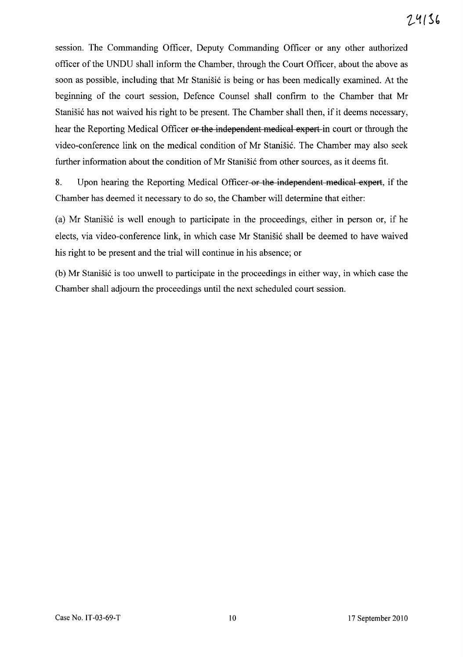session. The Commanding Officer, Deputy Commanding Officer or any other authorized officer of the UNDU shall inform the Chamber, through the Court Officer, about the above as soon as possible, including that Mr Stanišić is being or has been medically examined. At the beginning of the court session, Defence Counsel shall confirm to the Chamber that Mr Stanišić has not waived his right to be present. The Chamber shall then, if it deems necessary, hear the Reporting Medical Officer or the independent medical expert in court or through the video-conference link on the medical condition of Mr Stanišić. The Chamber may also seek further information about the condition of Mr Stanišić from other sources, as it deems fit.

8. Upon hearing the Reporting Medical Officer-or the independent medical expert, if the Chamber has deemed it necessary to do so, the Chamber will determine that either:

(a) Mr Stanišić is well enough to participate in the proceedings, either in person or, if he elects, via video-conference link, in which case Mr Stanišić shall be deemed to have waived his right to be present and the trial will continue in his absence; or

(b) Mr Stanišić is too unwell to participate in the proceedings in either way, in which case the Chamber shall adjourn the proceedings until the next scheduled court session.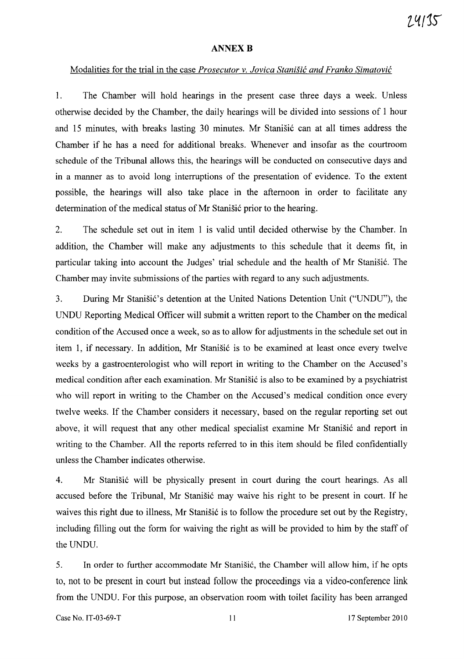#### **ANNEX B**

#### Modalities for the trial in the case *Prosecutor* v. *Jovica Stanifif: and Franko Simatovif:*

1. The Chamber will hold hearings in the present case three days a week. Unless otherwise decided by the Chamber, the daily hearings will be divided into sessions of 1 hour and 15 minutes, with breaks lasting 30 minutes. Mr Stanišić can at all times address the Chamber if he has a need for additional breaks. Whenever and insofar as the courtroom schedule of the Tribunal allows this, the hearings will be conducted on consecutive days and in a manner as to avoid long interruptions of the presentation of evidence. To the extent possible, the hearings will also take place in the afternoon in order to facilitate any determination of the medical status of Mr Stanišić prior to the hearing.

2. The schedule set out in item 1 is valid until decided otherwise by the Chamber. In addition, the Chamber will make any adjustments to this schedule that it deems fit, in particular taking into account the Judges' trial schedule and the health of Mr Stanišić. The Chamber may invite submissions of the parties with regard to any such adjustments.

3. During Mr Stanišić's detention at the United Nations Detention Unit ("UNDU"), the UNDU Reporting Medical Officer will submit a written report to the Chamber on the medical condition of the Accused once a week, so as to allow for adjustments in the schedule set out in item 1, if necessary. In addition, Mr Stanišić is to be examined at least once every twelve weeks by a gastroenterologist who will report in writing to the Chamber on the Accused's medical condition after each examination. Mr Stanišić is also to be examined by a psychiatrist who will report in writing to the Chamber on the Accused's medical condition once every twelve weeks. If the Chamber considers it necessary, based on the regular reporting set out above, it will request that any other medical specialist examine Mr Stanistic and report in writing to the Chamber. All the reports referred to in this item should be filed confidentially unless the Chamber indicates otherwise.

4. Mr Stanišić will be physically present in court during the court hearings. As all accused before the Tribunal, Mr Stanišić may waive his right to be present in court. If he waives this right due to illness, Mr Stanisić is to follow the procedure set out by the Registry, including filling out the form for waiving the right as will be provided to him by the staff of the UNDU.

5. In order to further accommodate Mr Stanisic, the Chamber will allow him, if he opts to, not to be present in court but instead follow the proceedings via a video-conference link from the UNDU. For this purpose, an observation room with toilet facility has been arranged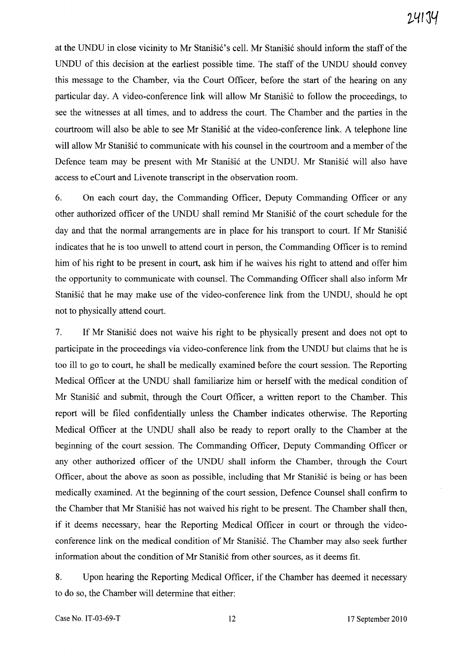at the UNDU in close vicinity to Mr Stanisić's cell. Mr Stanisić should inform the staff of the UNDU of this decision at the earliest possible time. The staff of the UNDU should convey this message to the Chamber, via the Court Officer, before the start of the hearing on any particular day. A video-conference link will allow Mr Stanišić to follow the proceedings, to see the witnesses at all times, and to address the court. The Chamber and the parties in the courtroom will also be able to see Mr Stanišić at the video-conference link. A telephone line will allow Mr Stanišić to communicate with his counsel in the courtroom and a member of the Defence team may be present with Mr Stanišić at the UNDU. Mr Stanišić will also have access to eCourt and Livenote transcript in the observation room.

6. On each court day, the Commanding Officer, Deputy Commanding Officer or any other authorized officer of the UNDU shall remind Mr Stanišić of the court schedule for the day and that the normal arrangements are in place for his transport to court. If Mr Stanisić indicates that he is too unwell to attend court in person, the Commanding Officer is to remind him of his right to be present in court, ask him if he waives his right to attend and offer him the opportunity to communicate with counsel. The Commanding Officer shall also inform Mr Stanišić that he may make use of the video-conference link from the UNDU, should he opt not to physically attend court.

7. If Mr Stanisić does not waive his right to be physically present and does not opt to participate in the proceedings via video-conference link from the UNDU but claims that he is too ill to go to court, he shall be medically examined before the court session. The Reporting Medical Officer at the UNDU shall familiarize him or herself with the medical condition of Mr Stanišić and submit, through the Court Officer, a written report to the Chamber. This report will be filed confidentially unless the Chamber indicates otherwise. The Reporting Medical Officer at the UNDU shall also be ready to report orally to the Chamber at the beginning of the court session. The Commanding Officer, Deputy Commanding Officer or any other authorized officer of the UNDU shall inform the Chamber, through the Court Officer, about the above as soon as possible, including that Mr Stanišić is being or has been medically examined. At the beginning of the court session, Defence Counsel shall confirm to the Chamber that Mr Stanisić has not waived his right to be present. The Chamber shall then, if it deems necessary, hear the Reporting Medical Officer in court or through the videoconference link on the medical condition of Mr Stanišić. The Chamber may also seek further information about the condition of Mr Stanišić from other sources, as it deems fit.

8. Upon hearing the Reporting Medical Officer, if the Chamber has deemed it necessary to do so, the Chamber will determine that either: